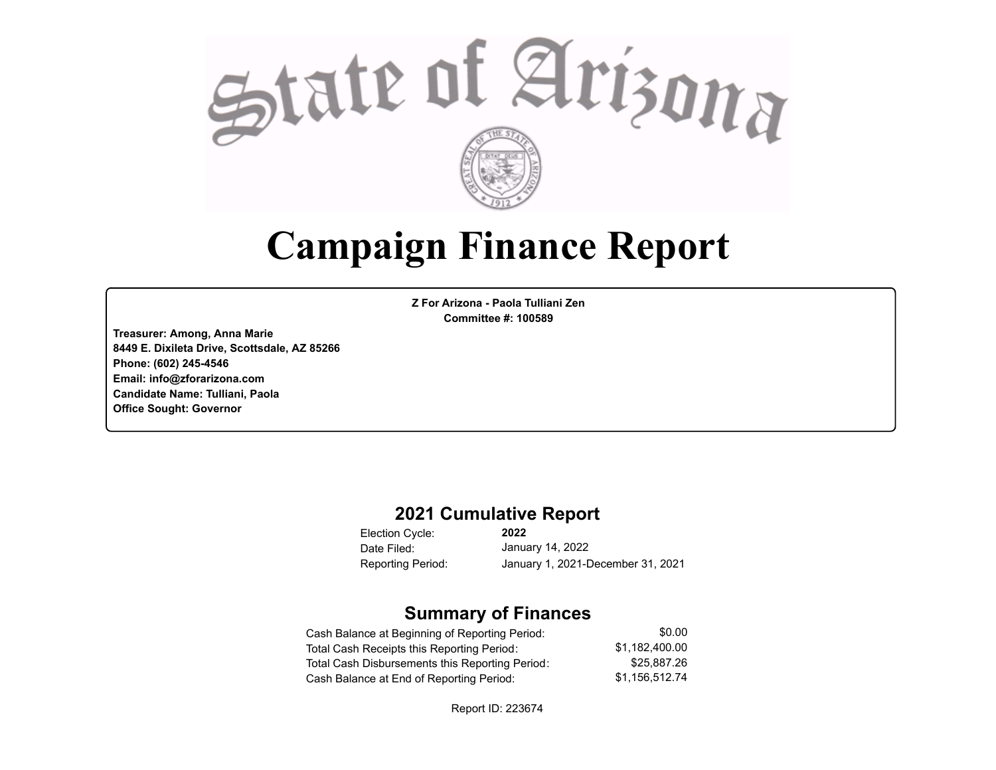

# **Campaign Finance Report**

**Z For Arizona - Paola Tulliani Zen Committee #: 100589**

**Treasurer: Among, Anna Marie 8449 E. Dixileta Drive, Scottsdale, AZ 85266 Phone: (602) 245-4546 Email: info@zforarizona.com Candidate Name: Tulliani, Paola Office Sought: Governor**

#### **2021 Cumulative Report**

Election Cycle: Date Filed:

**2022** January 14, 2022 Reporting Period: January 1, 2021-December 31, 2021

#### **Summary of Finances**

| Cash Balance at Beginning of Reporting Period:  | \$0.00         |
|-------------------------------------------------|----------------|
| Total Cash Receipts this Reporting Period:      | \$1.182.400.00 |
| Total Cash Disbursements this Reporting Period: | \$25,887.26    |
| Cash Balance at End of Reporting Period:        | \$1.156.512.74 |

Report ID: 223674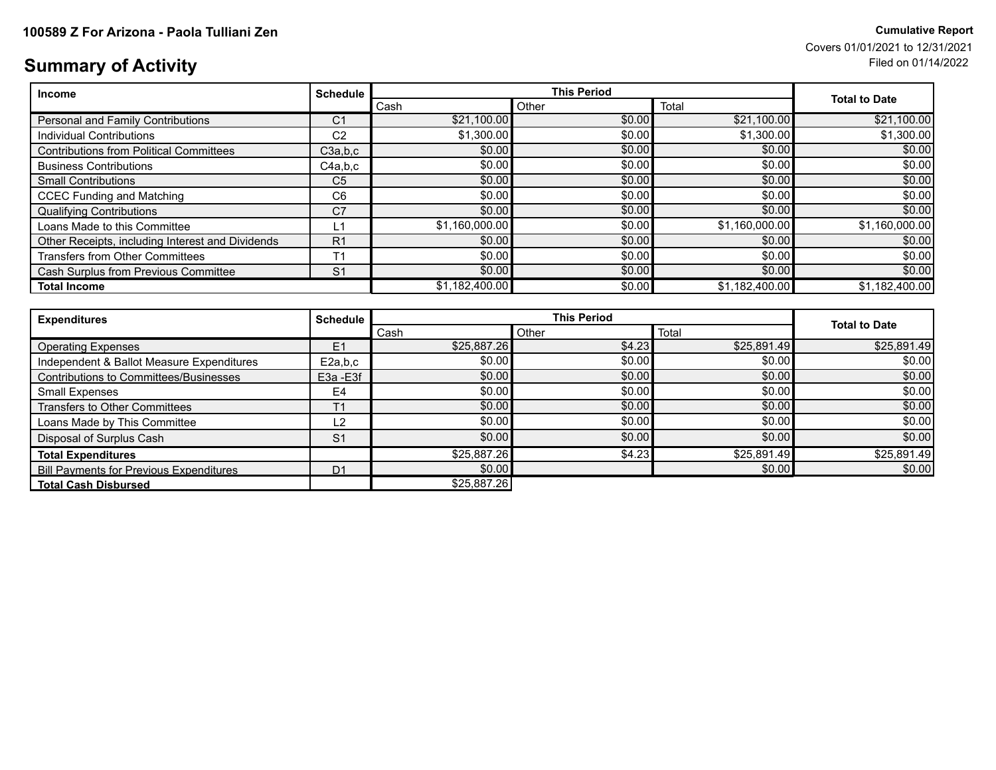## **Summary of Activity** Filed on 01/14/2022

| <b>Income</b>                                    | <b>Schedule</b> |                | <b>Total to Date</b> |                |                |
|--------------------------------------------------|-----------------|----------------|----------------------|----------------|----------------|
|                                                  |                 | Cash           | Other                | Total          |                |
| Personal and Family Contributions                | C1              | \$21,100.00    | \$0.00               | \$21,100.00    | \$21,100.00    |
| Individual Contributions                         | C <sub>2</sub>  | \$1,300.00     | \$0.00               | \$1,300.00     | \$1,300.00     |
| <b>Contributions from Political Committees</b>   | C3a,b,c         | \$0.00         | \$0.00               | \$0.00         | \$0.00         |
| <b>Business Contributions</b>                    | C4a.b.c         | \$0.00         | \$0.00               | \$0.00         | \$0.00         |
| <b>Small Contributions</b>                       | C <sub>5</sub>  | \$0.00         | \$0.00               | \$0.00         | \$0.00         |
| <b>CCEC Funding and Matching</b>                 | C <sub>6</sub>  | \$0.00         | \$0.00               | \$0.00         | \$0.00         |
| <b>Qualifying Contributions</b>                  | C <sub>7</sub>  | \$0.00         | \$0.00               | \$0.00         | \$0.00         |
| Loans Made to this Committee                     | L1              | \$1,160,000.00 | \$0.00               | \$1,160,000.00 | \$1,160,000.00 |
| Other Receipts, including Interest and Dividends | R <sub>1</sub>  | \$0.00         | \$0.00               | \$0.00         | \$0.00         |
| <b>Transfers from Other Committees</b>           | T <sub>1</sub>  | \$0.00         | \$0.00               | \$0.00         | \$0.00         |
| Cash Surplus from Previous Committee             | S <sub>1</sub>  | \$0.00         | \$0.00               | \$0.00         | \$0.00         |
| <b>Total Income</b>                              |                 | \$1,182,400.00 | \$0.00               | \$1,182,400.00 | \$1,182,400.00 |

| <b>Expenditures</b>                            | <b>Schedule</b> |             | <b>This Period</b> |             |                      |  |
|------------------------------------------------|-----------------|-------------|--------------------|-------------|----------------------|--|
|                                                |                 | Cash        | Other              | Total       | <b>Total to Date</b> |  |
| <b>Operating Expenses</b>                      | E1              | \$25,887.26 | \$4.23             | \$25,891.49 | \$25,891.49          |  |
| Independent & Ballot Measure Expenditures      | E2a.b.c         | \$0.00      | \$0.00             | \$0.00      | \$0.00               |  |
| Contributions to Committees/Businesses         | E3a - E3f       | \$0.00      | \$0.00             | \$0.00      | \$0.00               |  |
| <b>Small Expenses</b>                          | E4              | \$0.00      | \$0.00             | \$0.00      | \$0.00               |  |
| Transfers to Other Committees                  | T <sub>1</sub>  | \$0.00      | \$0.00             | \$0.00      | \$0.00               |  |
| Loans Made by This Committee                   | L2              | \$0.00      | \$0.00             | \$0.00      | \$0.00               |  |
| Disposal of Surplus Cash                       | S <sub>1</sub>  | \$0.00      | \$0.00             | \$0.00      | \$0.00               |  |
| <b>Total Expenditures</b>                      |                 | \$25,887.26 | \$4.23             | \$25,891.49 | \$25,891.49          |  |
| <b>Bill Payments for Previous Expenditures</b> | D <sub>1</sub>  | \$0.00      |                    | \$0.00      | \$0.00               |  |
| <b>Total Cash Disbursed</b>                    |                 | \$25,887.26 |                    |             |                      |  |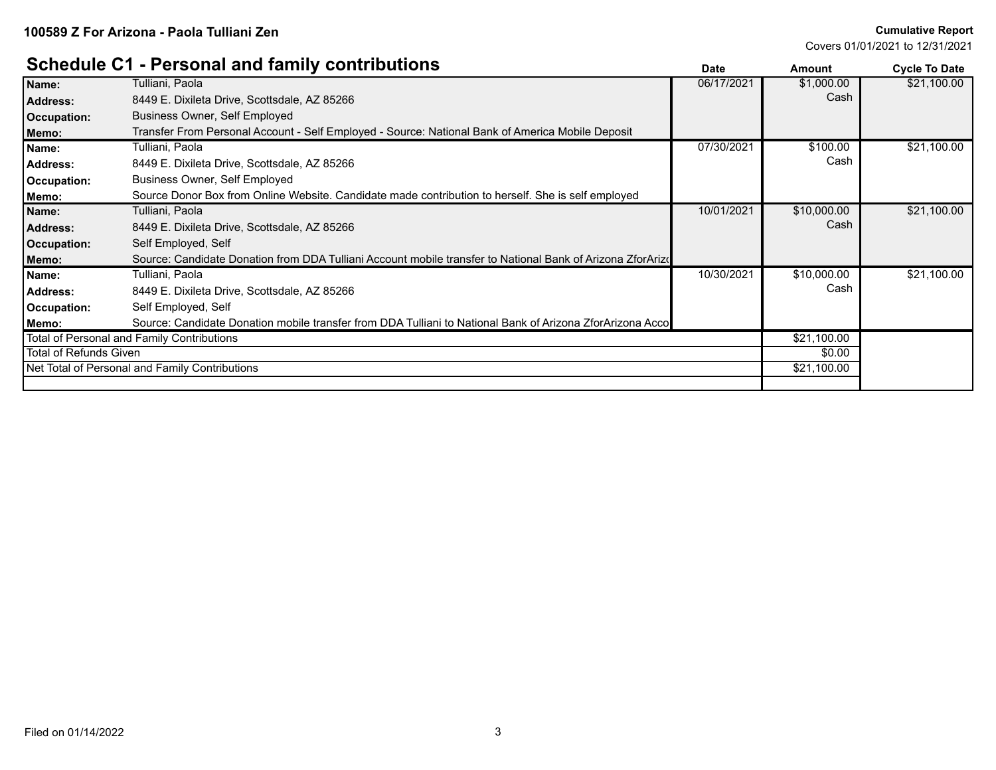#### **Schedule C1 - Personal and family contributions Date Date Amount Amount Cycle To Date**

|                        | <u> Sanaano Steed and Mini Mini and a Sanahomo</u>                                                         | Dale       | Allioulit   | <b>OVGIE TO DATE</b> |
|------------------------|------------------------------------------------------------------------------------------------------------|------------|-------------|----------------------|
| Name:                  | Tulliani, Paola                                                                                            | 06/17/2021 | \$1,000.00  | \$21,100.00          |
| <b>Address:</b>        | 8449 E. Dixileta Drive, Scottsdale, AZ 85266                                                               |            | Cash        |                      |
| Occupation:            | Business Owner, Self Employed                                                                              |            |             |                      |
| Memo:                  | Transfer From Personal Account - Self Employed - Source: National Bank of America Mobile Deposit           |            |             |                      |
| Name:                  | Tulliani, Paola                                                                                            | 07/30/2021 | \$100.00    | \$21,100.00          |
| <b>Address:</b>        | 8449 E. Dixileta Drive, Scottsdale, AZ 85266                                                               |            | Cash        |                      |
| Occupation:            | Business Owner, Self Employed                                                                              |            |             |                      |
| Memo:                  | Source Donor Box from Online Website. Candidate made contribution to herself. She is self employed         |            |             |                      |
| Name:                  | Tulliani, Paola                                                                                            | 10/01/2021 | \$10,000.00 | \$21,100.00          |
| <b>Address:</b>        | 8449 E. Dixileta Drive, Scottsdale, AZ 85266                                                               |            | Cash        |                      |
| <b>Occupation:</b>     | Self Employed, Self                                                                                        |            |             |                      |
| Memo:                  | Source: Candidate Donation from DDA Tulliani Account mobile transfer to National Bank of Arizona ZforArize |            |             |                      |
| Name:                  | Tulliani, Paola                                                                                            | 10/30/2021 | \$10,000.00 | \$21,100.00          |
| <b>Address:</b>        | 8449 E. Dixileta Drive, Scottsdale, AZ 85266                                                               |            | Cash        |                      |
| Occupation:            | Self Employed, Self                                                                                        |            |             |                      |
| Memo:                  | Source: Candidate Donation mobile transfer from DDA Tulliani to National Bank of Arizona ZforArizona Acco  |            |             |                      |
|                        | Total of Personal and Family Contributions                                                                 |            | \$21,100.00 |                      |
| Total of Refunds Given |                                                                                                            |            | \$0.00      |                      |
|                        | Net Total of Personal and Family Contributions                                                             |            | \$21,100.00 |                      |
|                        |                                                                                                            |            |             |                      |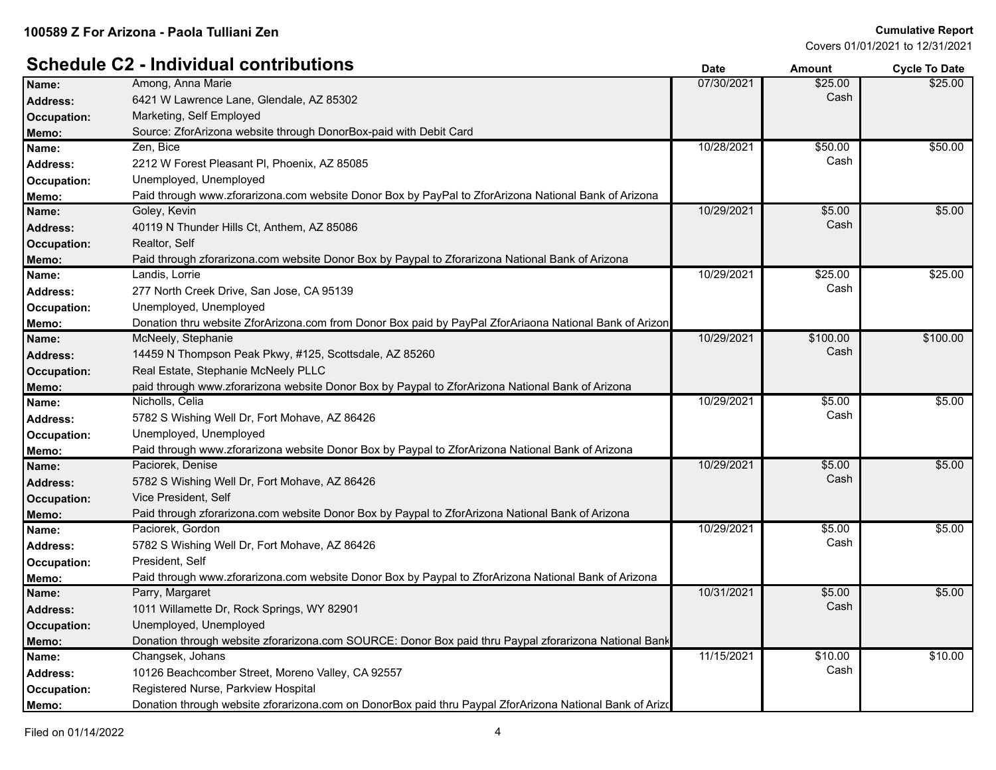#### **Schedule C2 - Individual contributions Date Date Date Amount Cycle To Date**

| Name:              | Among, Anna Marie                                                                                        | 07/30/2021 | \$25.00  | \$25.00  |
|--------------------|----------------------------------------------------------------------------------------------------------|------------|----------|----------|
| Address:           | 6421 W Lawrence Lane, Glendale, AZ 85302                                                                 |            | Cash     |          |
| <b>Occupation:</b> | Marketing, Self Employed                                                                                 |            |          |          |
| Memo:              | Source: ZforArizona website through DonorBox-paid with Debit Card                                        |            |          |          |
| Name:              | Zen, Bice                                                                                                | 10/28/2021 | \$50.00  | \$50.00  |
| <b>Address:</b>    | 2212 W Forest Pleasant Pl, Phoenix, AZ 85085                                                             |            | Cash     |          |
| Occupation:        | Unemployed, Unemployed                                                                                   |            |          |          |
| Memo:              | Paid through www.zforarizona.com website Donor Box by PayPal to ZforArizona National Bank of Arizona     |            |          |          |
| Name:              | Goley, Kevin                                                                                             | 10/29/2021 | \$5.00   | \$5.00   |
| Address:           | 40119 N Thunder Hills Ct, Anthem, AZ 85086                                                               |            | Cash     |          |
| Occupation:        | Realtor, Self                                                                                            |            |          |          |
| Memo:              | Paid through zforarizona.com website Donor Box by Paypal to Zforarizona National Bank of Arizona         |            |          |          |
| Name:              | Landis, Lorrie                                                                                           | 10/29/2021 | \$25.00  | \$25.00  |
| Address:           | 277 North Creek Drive, San Jose, CA 95139                                                                |            | Cash     |          |
| Occupation:        | Unemployed, Unemployed                                                                                   |            |          |          |
| Memo:              | Donation thru website ZforArizona.com from Donor Box paid by PayPal ZforAriaona National Bank of Arizon  |            |          |          |
| Name:              | McNeely, Stephanie                                                                                       | 10/29/2021 | \$100.00 | \$100.00 |
| Address:           | 14459 N Thompson Peak Pkwy, #125, Scottsdale, AZ 85260                                                   |            | Cash     |          |
| Occupation:        | Real Estate, Stephanie McNeely PLLC                                                                      |            |          |          |
| Memo:              | paid through www.zforarizona website Donor Box by Paypal to ZforArizona National Bank of Arizona         |            |          |          |
| Name:              | Nicholls, Celia                                                                                          | 10/29/2021 | \$5.00   | \$5.00   |
| Address:           | 5782 S Wishing Well Dr, Fort Mohave, AZ 86426                                                            |            | Cash     |          |
| Occupation:        | Unemployed, Unemployed                                                                                   |            |          |          |
| Memo:              | Paid through www.zforarizona website Donor Box by Paypal to ZforArizona National Bank of Arizona         |            |          |          |
| Name:              | Paciorek, Denise                                                                                         | 10/29/2021 | \$5.00   | \$5.00   |
| <b>Address:</b>    | 5782 S Wishing Well Dr, Fort Mohave, AZ 86426                                                            |            | Cash     |          |
| Occupation:        | Vice President, Self                                                                                     |            |          |          |
| Memo:              | Paid through zforarizona.com website Donor Box by Paypal to ZforArizona National Bank of Arizona         |            |          |          |
| Name:              | Paciorek, Gordon                                                                                         | 10/29/2021 | \$5.00   | \$5.00   |
| Address:           | 5782 S Wishing Well Dr, Fort Mohave, AZ 86426                                                            |            | Cash     |          |
| Occupation:        | President, Self                                                                                          |            |          |          |
| Memo:              | Paid through www.zforarizona.com website Donor Box by Paypal to ZforArizona National Bank of Arizona     |            |          |          |
| Name:              | Parry, Margaret                                                                                          | 10/31/2021 | \$5.00   | \$5.00   |
| <b>Address:</b>    | 1011 Willamette Dr, Rock Springs, WY 82901                                                               |            | Cash     |          |
| Occupation:        | Unemployed, Unemployed                                                                                   |            |          |          |
| Memo:              | Donation through website zforarizona.com SOURCE: Donor Box paid thru Paypal zforarizona National Bank    |            |          |          |
| Name:              | Changsek, Johans                                                                                         | 11/15/2021 | \$10.00  | \$10.00  |
| <b>Address:</b>    | 10126 Beachcomber Street, Moreno Valley, CA 92557                                                        |            | Cash     |          |
| Occupation:        | Registered Nurse, Parkview Hospital                                                                      |            |          |          |
| Memo:              | Donation through website zforarizona.com on DonorBox paid thru Paypal ZforArizona National Bank of Arizo |            |          |          |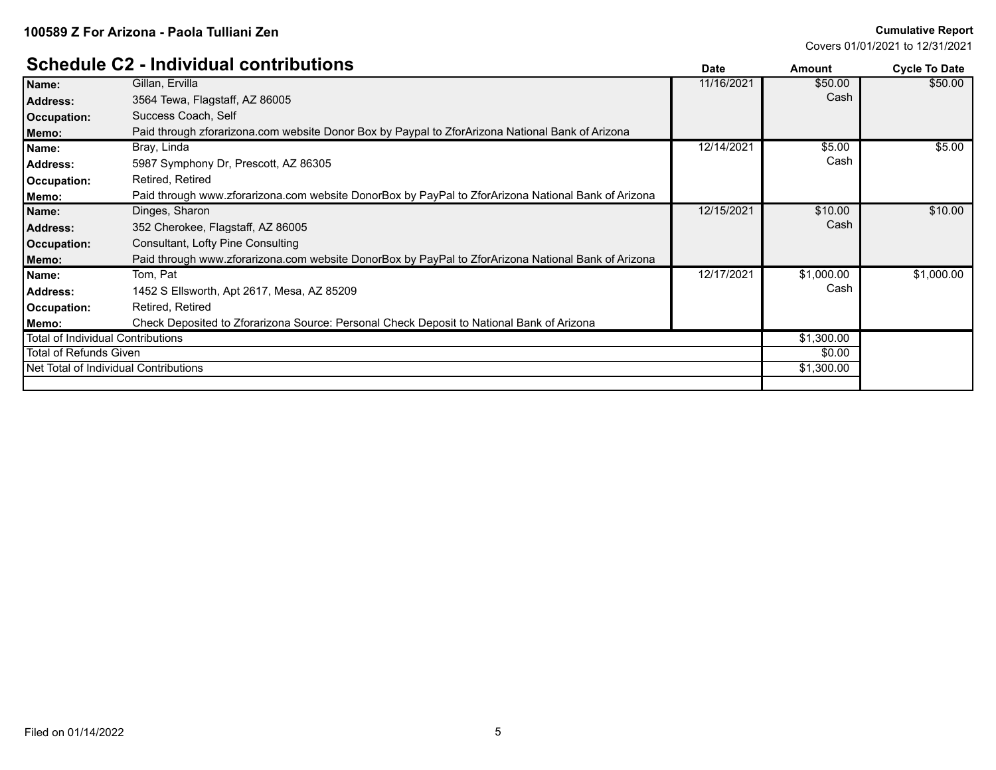#### **Schedule C2 - Individual contributions**

|                                   | OCHGUUIG OZ - MUIVIUUUI CONNIDUUONS                                                                 | Date       | Amount     | <b>Cycle To Date</b> |
|-----------------------------------|-----------------------------------------------------------------------------------------------------|------------|------------|----------------------|
| Name:                             | Gillan, Ervilla                                                                                     | 11/16/2021 | \$50.00    | \$50.00              |
| <b>Address:</b>                   | 3564 Tewa, Flagstaff, AZ 86005                                                                      |            | Cash       |                      |
| Occupation:                       | Success Coach, Self                                                                                 |            |            |                      |
| Memo:                             | Paid through zforarizona.com website Donor Box by Paypal to ZforArizona National Bank of Arizona    |            |            |                      |
| Name:                             | Bray, Linda                                                                                         | 12/14/2021 | \$5.00     | \$5.00               |
| <b>Address:</b>                   | 5987 Symphony Dr, Prescott, AZ 86305                                                                |            | Cash       |                      |
| Occupation:                       | Retired, Retired                                                                                    |            |            |                      |
| Memo:                             | Paid through www.zforarizona.com website DonorBox by PayPal to ZforArizona National Bank of Arizona |            |            |                      |
| Name:                             | Dinges, Sharon                                                                                      | 12/15/2021 | \$10.00    | \$10.00              |
| <b>Address:</b>                   | 352 Cherokee, Flagstaff, AZ 86005                                                                   |            | Cash       |                      |
| Occupation:                       | Consultant, Lofty Pine Consulting                                                                   |            |            |                      |
| Memo:                             | Paid through www.zforarizona.com website DonorBox by PayPal to ZforArizona National Bank of Arizona |            |            |                      |
| Name:                             | Tom, Pat                                                                                            | 12/17/2021 | \$1,000.00 | \$1,000.00           |
| <b>Address:</b>                   | 1452 S Ellsworth, Apt 2617, Mesa, AZ 85209                                                          |            | Cash       |                      |
| Occupation:                       | Retired, Retired                                                                                    |            |            |                      |
| Memo:                             | Check Deposited to Zforarizona Source: Personal Check Deposit to National Bank of Arizona           |            |            |                      |
| Total of Individual Contributions |                                                                                                     |            | \$1,300.00 |                      |
| l Total of Refunds Given          |                                                                                                     |            | \$0.00     |                      |
|                                   | Net Total of Individual Contributions                                                               |            | \$1,300.00 |                      |
|                                   |                                                                                                     |            |            |                      |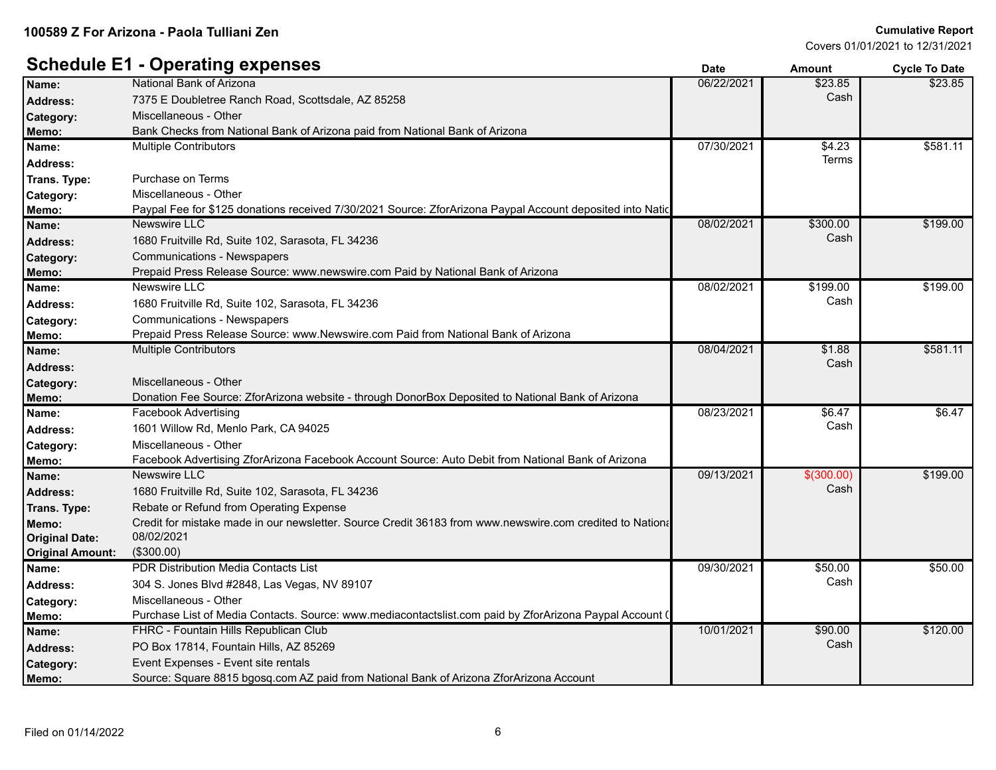|                         | - <u>Lorenna</u> aukonee                                                                                  | υαισ       | Allivulit  | <b>OVUE TO DATE</b> |
|-------------------------|-----------------------------------------------------------------------------------------------------------|------------|------------|---------------------|
| Name:                   | National Bank of Arizona                                                                                  | 06/22/2021 | \$23.85    | \$23.85             |
| <b>Address:</b>         | 7375 E Doubletree Ranch Road, Scottsdale, AZ 85258                                                        |            | Cash       |                     |
| Category:               | Miscellaneous - Other                                                                                     |            |            |                     |
| Memo:                   | Bank Checks from National Bank of Arizona paid from National Bank of Arizona                              |            |            |                     |
| Name:                   | <b>Multiple Contributors</b>                                                                              | 07/30/2021 | \$4.23     | \$581.11            |
| Address:                |                                                                                                           |            | Terms      |                     |
| Trans. Type:            | Purchase on Terms                                                                                         |            |            |                     |
| Category:               | Miscellaneous - Other                                                                                     |            |            |                     |
| Memo:                   | Paypal Fee for \$125 donations received 7/30/2021 Source: ZforArizona Paypal Account deposited into Natio |            |            |                     |
| Name:                   | Newswire LLC                                                                                              | 08/02/2021 | \$300.00   | \$199.00            |
| Address:                | 1680 Fruitville Rd, Suite 102, Sarasota, FL 34236                                                         |            | Cash       |                     |
| Category:               | <b>Communications - Newspapers</b>                                                                        |            |            |                     |
| Memo:                   | Prepaid Press Release Source: www.newswire.com Paid by National Bank of Arizona                           |            |            |                     |
| Name:                   | Newswire LLC                                                                                              | 08/02/2021 | \$199.00   | \$199.00            |
| Address:                | 1680 Fruitville Rd, Suite 102, Sarasota, FL 34236                                                         |            | Cash       |                     |
| Category:               | <b>Communications - Newspapers</b>                                                                        |            |            |                     |
| Memo:                   | Prepaid Press Release Source: www.Newswire.com Paid from National Bank of Arizona                         |            |            |                     |
| Name:                   | <b>Multiple Contributors</b>                                                                              | 08/04/2021 | \$1.88     | \$581.11            |
| <b>Address:</b>         |                                                                                                           |            | Cash       |                     |
| <b>Category:</b>        | Miscellaneous - Other                                                                                     |            |            |                     |
| Memo:                   | Donation Fee Source: ZforArizona website - through DonorBox Deposited to National Bank of Arizona         |            |            |                     |
| Name:                   | Facebook Advertising                                                                                      | 08/23/2021 | \$6.47     | \$6.47              |
| Address:                | 1601 Willow Rd, Menlo Park, CA 94025                                                                      |            | Cash       |                     |
| Category:               | Miscellaneous - Other                                                                                     |            |            |                     |
| Memo:                   | Facebook Advertising ZforArizona Facebook Account Source: Auto Debit from National Bank of Arizona        |            |            |                     |
| Name:                   | <b>Newswire LLC</b>                                                                                       | 09/13/2021 | \$(300.00) | \$199.00            |
| Address:                | 1680 Fruitville Rd, Suite 102, Sarasota, FL 34236                                                         |            | Cash       |                     |
| <b>Trans. Type:</b>     | Rebate or Refund from Operating Expense                                                                   |            |            |                     |
| Memo:                   | Credit for mistake made in our newsletter. Source Credit 36183 from www.newswire.com credited to National |            |            |                     |
| <b>Original Date:</b>   | 08/02/2021                                                                                                |            |            |                     |
| <b>Original Amount:</b> | (\$300.00)                                                                                                |            |            |                     |
| Name:                   | PDR Distribution Media Contacts List                                                                      | 09/30/2021 | \$50.00    | \$50.00             |
| <b>Address:</b>         | 304 S. Jones Blvd #2848, Las Vegas, NV 89107                                                              |            | Cash       |                     |
| Category:               | Miscellaneous - Other                                                                                     |            |            |                     |
| Memo:                   | Purchase List of Media Contacts. Source: www.mediacontactslist.com paid by ZforArizona Paypal Account (   |            |            |                     |
| Name:                   | FHRC - Fountain Hills Republican Club                                                                     | 10/01/2021 | \$90.00    | \$120.00            |
| Address:                | PO Box 17814, Fountain Hills, AZ 85269                                                                    |            | Cash       |                     |
| Category:               | Event Expenses - Event site rentals                                                                       |            |            |                     |
| Memo:                   | Source: Square 8815 bgosq.com AZ paid from National Bank of Arizona ZforArizona Account                   |            |            |                     |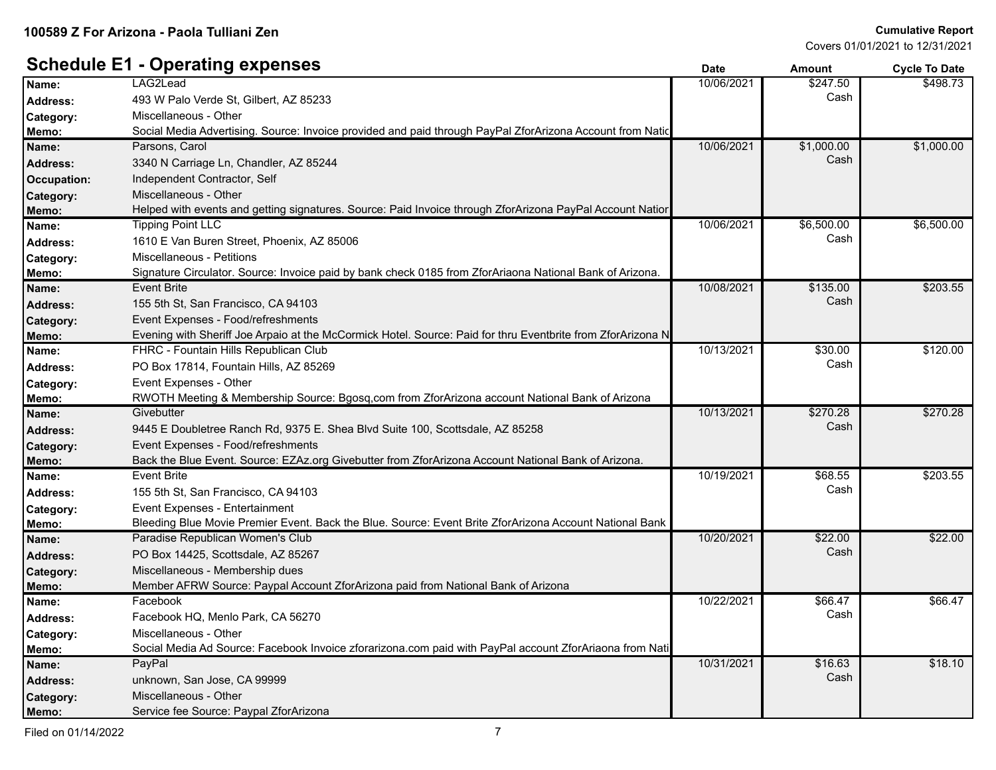#### **Schedule E1 - Operating expenses Date Date Date Amount Cycle To Date**

| Name:            | LAG2Lead                                                                                                    | 10/06/2021 | \$247.50   | \$498.73   |
|------------------|-------------------------------------------------------------------------------------------------------------|------------|------------|------------|
| <b>Address:</b>  | 493 W Palo Verde St, Gilbert, AZ 85233                                                                      |            | Cash       |            |
| Category:        | Miscellaneous - Other                                                                                       |            |            |            |
| Memo:            | Social Media Advertising. Source: Invoice provided and paid through PayPal ZforArizona Account from Natic   |            |            |            |
| Name:            | Parsons, Carol                                                                                              | 10/06/2021 | \$1,000.00 | \$1,000.00 |
| <b>Address:</b>  | 3340 N Carriage Ln, Chandler, AZ 85244                                                                      |            | Cash       |            |
| Occupation:      | Independent Contractor, Self                                                                                |            |            |            |
| Category:        | Miscellaneous - Other                                                                                       |            |            |            |
| Memo:            | Helped with events and getting signatures. Source: Paid Invoice through ZforArizona PayPal Account Natior   |            |            |            |
| Name:            | <b>Tipping Point LLC</b>                                                                                    | 10/06/2021 | \$6,500.00 | \$6,500.00 |
| <b>Address:</b>  | 1610 E Van Buren Street, Phoenix, AZ 85006                                                                  |            | Cash       |            |
| Category:        | Miscellaneous - Petitions                                                                                   |            |            |            |
| Memo:            | Signature Circulator. Source: Invoice paid by bank check 0185 from ZforAriaona National Bank of Arizona.    |            |            |            |
| Name:            | <b>Event Brite</b>                                                                                          | 10/08/2021 | \$135.00   | \$203.55   |
| <b>Address:</b>  | 155 5th St, San Francisco, CA 94103                                                                         |            | Cash       |            |
| Category:        | Event Expenses - Food/refreshments                                                                          |            |            |            |
| Memo:            | Evening with Sheriff Joe Arpaio at the McCormick Hotel. Source: Paid for thru Eventbrite from ZforArizona N |            |            |            |
| Name:            | FHRC - Fountain Hills Republican Club                                                                       | 10/13/2021 | \$30.00    | \$120.00   |
| <b>Address:</b>  | PO Box 17814, Fountain Hills, AZ 85269                                                                      |            | Cash       |            |
| Category:        | Event Expenses - Other                                                                                      |            |            |            |
| Memo:            | RWOTH Meeting & Membership Source: Bgosq,com from ZforArizona account National Bank of Arizona              |            |            |            |
| Name:            | Givebutter                                                                                                  | 10/13/2021 | \$270.28   | \$270.28   |
| <b>Address:</b>  | 9445 E Doubletree Ranch Rd, 9375 E. Shea Blvd Suite 100, Scottsdale, AZ 85258                               |            | Cash       |            |
| Category:        | Event Expenses - Food/refreshments                                                                          |            |            |            |
| Memo:            | Back the Blue Event. Source: EZAz.org Givebutter from ZforArizona Account National Bank of Arizona.         |            |            |            |
| Name:            | <b>Event Brite</b>                                                                                          | 10/19/2021 | \$68.55    | \$203.55   |
| Address:         | 155 5th St, San Francisco, CA 94103                                                                         |            | Cash       |            |
| Category:        | Event Expenses - Entertainment                                                                              |            |            |            |
| Memo:            | Bleeding Blue Movie Premier Event. Back the Blue. Source: Event Brite ZforArizona Account National Bank     |            |            |            |
| Name:            | Paradise Republican Women's Club                                                                            | 10/20/2021 | \$22.00    | \$22.00    |
| <b>Address:</b>  | PO Box 14425, Scottsdale, AZ 85267                                                                          |            | Cash       |            |
| Category:        | Miscellaneous - Membership dues                                                                             |            |            |            |
| Memo:            | Member AFRW Source: Paypal Account ZforArizona paid from National Bank of Arizona                           |            |            |            |
| Name:            | Facebook                                                                                                    | 10/22/2021 | \$66.47    | \$66.47    |
| Address:         | Facebook HQ, Menlo Park, CA 56270                                                                           |            | Cash       |            |
| Category:        | Miscellaneous - Other                                                                                       |            |            |            |
| Memo:            | Social Media Ad Source: Facebook Invoice zforarizona.com paid with PayPal account ZforAriaona from Nati     |            |            |            |
| Name:            | PayPal                                                                                                      | 10/31/2021 | \$16.63    | \$18.10    |
| <b>Address:</b>  | unknown, San Jose, CA 99999                                                                                 |            | Cash       |            |
| <b>Category:</b> | Miscellaneous - Other                                                                                       |            |            |            |
| Memo:            | Service fee Source: Paypal ZforArizona                                                                      |            |            |            |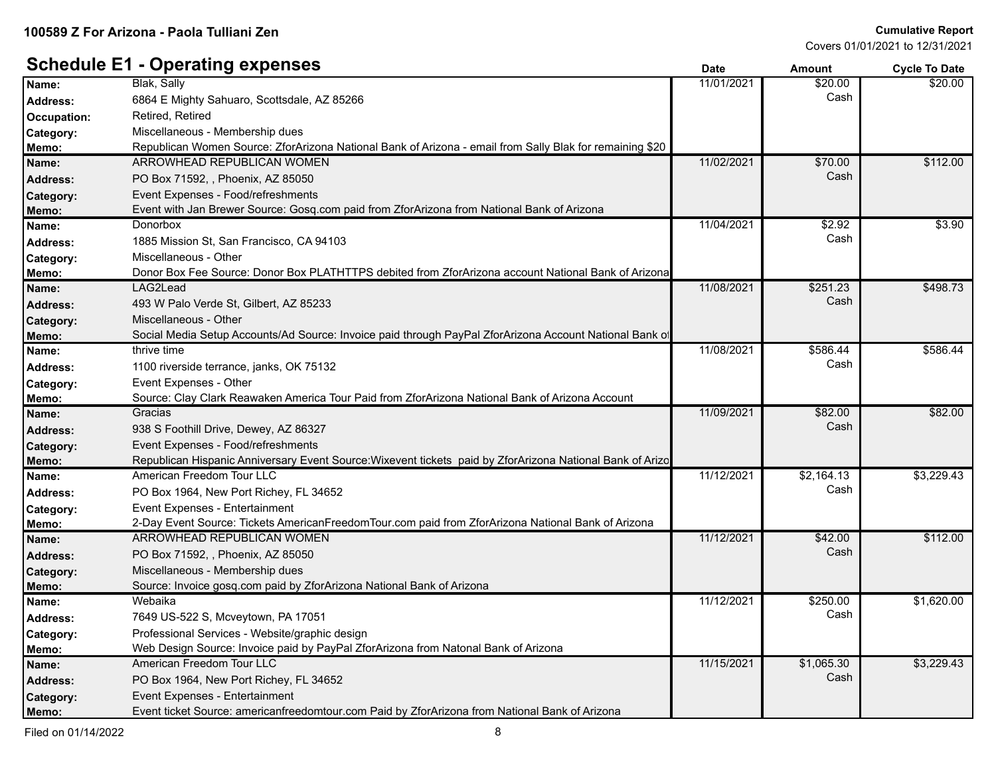#### **Schedule E1 - Operating expenses Date Date Date Amount Cycle To Date**

|                 | ັ                                                                                                         |            |            |            |
|-----------------|-----------------------------------------------------------------------------------------------------------|------------|------------|------------|
| Name:           | Blak, Sally                                                                                               | 11/01/2021 | \$20.00    | \$20.00    |
| Address:        | 6864 E Mighty Sahuaro, Scottsdale, AZ 85266                                                               |            | Cash       |            |
| Occupation:     | Retired, Retired                                                                                          |            |            |            |
| Category:       | Miscellaneous - Membership dues                                                                           |            |            |            |
| Memo:           | Republican Women Source: ZforArizona National Bank of Arizona - email from Sally Blak for remaining \$20  |            |            |            |
| Name:           | ARROWHEAD REPUBLICAN WOMEN                                                                                | 11/02/2021 | \$70.00    | \$112.00   |
| <b>Address:</b> | PO Box 71592, , Phoenix, AZ 85050                                                                         |            | Cash       |            |
| Category:       | Event Expenses - Food/refreshments                                                                        |            |            |            |
| Memo:           | Event with Jan Brewer Source: Gosq.com paid from ZforArizona from National Bank of Arizona                |            |            |            |
| Name:           | Donorbox                                                                                                  | 11/04/2021 | \$2.92     | \$3.90     |
| <b>Address:</b> | 1885 Mission St, San Francisco, CA 94103                                                                  |            | Cash       |            |
| Category:       | Miscellaneous - Other                                                                                     |            |            |            |
| Memo:           | Donor Box Fee Source: Donor Box PLATHTTPS debited from ZforArizona account National Bank of Arizona       |            |            |            |
| Name:           | LAG2Lead                                                                                                  | 11/08/2021 | \$251.23   | \$498.73   |
| <b>Address:</b> | 493 W Palo Verde St, Gilbert, AZ 85233                                                                    |            | Cash       |            |
| Category:       | Miscellaneous - Other                                                                                     |            |            |            |
| Memo:           | Social Media Setup Accounts/Ad Source: Invoice paid through PayPal ZforArizona Account National Bank of   |            |            |            |
| Name:           | thrive time                                                                                               | 11/08/2021 | \$586.44   | \$586.44   |
| Address:        | 1100 riverside terrance, janks, OK 75132                                                                  |            | Cash       |            |
| Category:       | Event Expenses - Other                                                                                    |            |            |            |
| Memo:           | Source: Clay Clark Reawaken America Tour Paid from ZforArizona National Bank of Arizona Account           |            |            |            |
| Name:           | Gracias                                                                                                   | 11/09/2021 | \$82.00    | \$82.00    |
| Address:        | 938 S Foothill Drive, Dewey, AZ 86327                                                                     |            | Cash       |            |
| Category:       | Event Expenses - Food/refreshments                                                                        |            |            |            |
| Memo:           | Republican Hispanic Anniversary Event Source: Wixevent tickets paid by ZforArizona National Bank of Arizo |            |            |            |
| Name:           | American Freedom Tour LLC                                                                                 | 11/12/2021 | \$2,164.13 | \$3,229.43 |
| <b>Address:</b> | PO Box 1964, New Port Richey, FL 34652                                                                    |            | Cash       |            |
| Category:       | Event Expenses - Entertainment                                                                            |            |            |            |
| Memo:           | 2-Day Event Source: Tickets AmericanFreedomTour.com paid from ZforArizona National Bank of Arizona        |            |            |            |
| Name:           | ARROWHEAD REPUBLICAN WOMEN                                                                                | 11/12/2021 | \$42.00    | \$112.00   |
| <b>Address:</b> | PO Box 71592, , Phoenix, AZ 85050                                                                         |            | Cash       |            |
| Category:       | Miscellaneous - Membership dues                                                                           |            |            |            |
| Memo:           | Source: Invoice gosq.com paid by ZforArizona National Bank of Arizona                                     |            |            |            |
| Name:           | Webaika                                                                                                   | 11/12/2021 | \$250.00   | \$1,620.00 |
| <b>Address:</b> | 7649 US-522 S, Mcveytown, PA 17051                                                                        |            | Cash       |            |
| Category:       | Professional Services - Website/graphic design                                                            |            |            |            |
| Memo:           | Web Design Source: Invoice paid by PayPal ZforArizona from Natonal Bank of Arizona                        |            |            |            |
| Name:           | American Freedom Tour LLC                                                                                 | 11/15/2021 | \$1,065.30 | \$3,229.43 |
| <b>Address:</b> | PO Box 1964, New Port Richey, FL 34652                                                                    |            | Cash       |            |
| Category:       | Event Expenses - Entertainment                                                                            |            |            |            |
| Memo:           | Event ticket Source: americanfreedomtour.com Paid by ZforArizona from National Bank of Arizona            |            |            |            |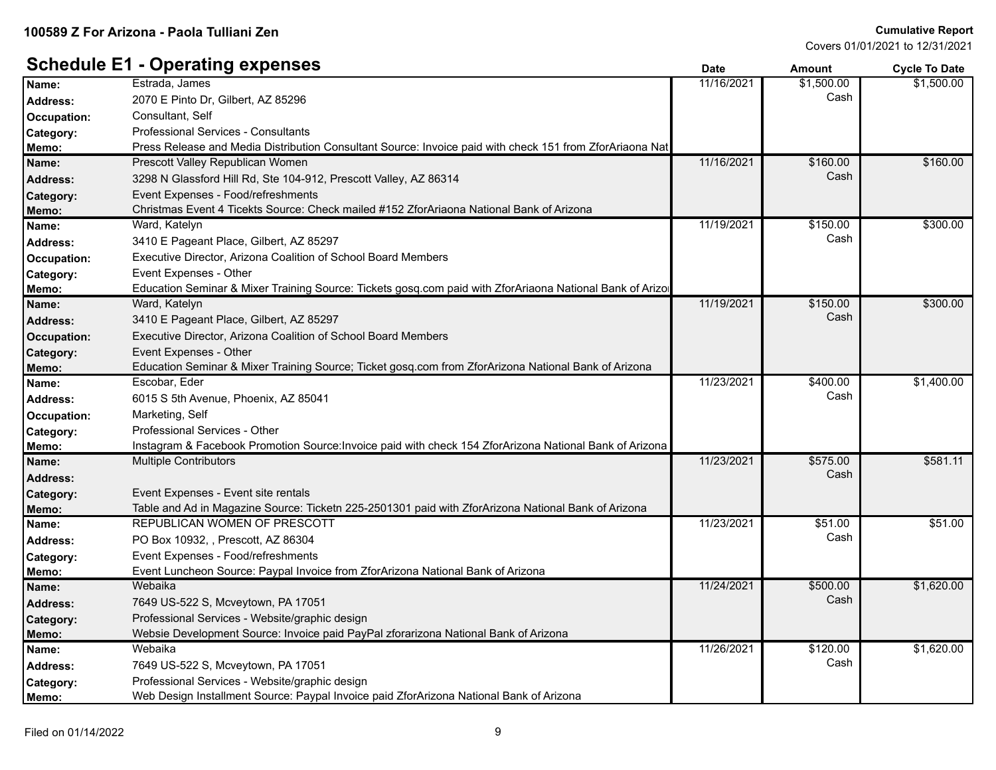|                 | - h-. ~….ລ                                                                                               | υαισ       | Allivulit  | <b>OVUE TO DATE</b> |
|-----------------|----------------------------------------------------------------------------------------------------------|------------|------------|---------------------|
| Name:           | Estrada, James                                                                                           | 11/16/2021 | \$1,500.00 | \$1,500.00          |
| <b>Address:</b> | 2070 E Pinto Dr, Gilbert, AZ 85296                                                                       |            | Cash       |                     |
| Occupation:     | Consultant, Self                                                                                         |            |            |                     |
| Category:       | <b>Professional Services - Consultants</b>                                                               |            |            |                     |
| Memo:           | Press Release and Media Distribution Consultant Source: Invoice paid with check 151 from ZforAriaona Nat |            |            |                     |
| Name:           | Prescott Valley Republican Women                                                                         | 11/16/2021 | \$160.00   | \$160.00            |
| <b>Address:</b> | 3298 N Glassford Hill Rd, Ste 104-912, Prescott Valley, AZ 86314                                         |            | Cash       |                     |
| Category:       | Event Expenses - Food/refreshments                                                                       |            |            |                     |
| Memo:           | Christmas Event 4 Ticekts Source: Check mailed #152 ZforAriaona National Bank of Arizona                 |            |            |                     |
| Name:           | Ward, Katelyn                                                                                            | 11/19/2021 | \$150.00   | \$300.00            |
| <b>Address:</b> | 3410 E Pageant Place, Gilbert, AZ 85297                                                                  |            | Cash       |                     |
| Occupation:     | Executive Director, Arizona Coalition of School Board Members                                            |            |            |                     |
| Category:       | Event Expenses - Other                                                                                   |            |            |                     |
| Memo:           | Education Seminar & Mixer Training Source: Tickets gosq.com paid with ZforAriaona National Bank of Arizo |            |            |                     |
| Name:           | Ward, Katelyn                                                                                            | 11/19/2021 | \$150.00   | \$300.00            |
| <b>Address:</b> | 3410 E Pageant Place, Gilbert, AZ 85297                                                                  |            | Cash       |                     |
| Occupation:     | Executive Director, Arizona Coalition of School Board Members                                            |            |            |                     |
| Category:       | Event Expenses - Other                                                                                   |            |            |                     |
| Memo:           | Education Seminar & Mixer Training Source; Ticket gosq.com from ZforArizona National Bank of Arizona     |            |            |                     |
| Name:           | Escobar, Eder                                                                                            | 11/23/2021 | \$400.00   | \$1,400.00          |
| <b>Address:</b> | 6015 S 5th Avenue, Phoenix, AZ 85041                                                                     |            | Cash       |                     |
| Occupation:     | Marketing, Self                                                                                          |            |            |                     |
| Category:       | Professional Services - Other                                                                            |            |            |                     |
| Memo:           | Instagram & Facebook Promotion Source: Invoice paid with check 154 ZforArizona National Bank of Arizona  |            |            |                     |
| Name:           | <b>Multiple Contributors</b>                                                                             | 11/23/2021 | \$575.00   | \$581.11            |
| <b>Address:</b> |                                                                                                          |            | Cash       |                     |
| Category:       | Event Expenses - Event site rentals                                                                      |            |            |                     |
| Memo:           | Table and Ad in Magazine Source: Ticketn 225-2501301 paid with ZforArizona National Bank of Arizona      |            |            |                     |
| Name:           | REPUBLICAN WOMEN OF PRESCOTT                                                                             | 11/23/2021 | \$51.00    | \$51.00             |
| <b>Address:</b> | PO Box 10932, , Prescott, AZ 86304                                                                       |            | Cash       |                     |
| Category:       | Event Expenses - Food/refreshments                                                                       |            |            |                     |
| Memo:           | Event Luncheon Source: Paypal Invoice from ZforArizona National Bank of Arizona                          |            |            |                     |
| Name:           | Webaika                                                                                                  | 11/24/2021 | \$500.00   | \$1,620.00          |
| Address:        | 7649 US-522 S, Mcveytown, PA 17051                                                                       |            | Cash       |                     |
| Category:       | Professional Services - Website/graphic design                                                           |            |            |                     |
| Memo:           | Websie Development Source: Invoice paid PayPal zforarizona National Bank of Arizona                      |            |            |                     |
| Name:           | Webaika                                                                                                  | 11/26/2021 | \$120.00   | \$1,620.00          |
| <b>Address:</b> | 7649 US-522 S, Mcveytown, PA 17051                                                                       |            | Cash       |                     |
| Category:       | Professional Services - Website/graphic design                                                           |            |            |                     |
| Memo:           | Web Design Installment Source: Paypal Invoice paid ZforArizona National Bank of Arizona                  |            |            |                     |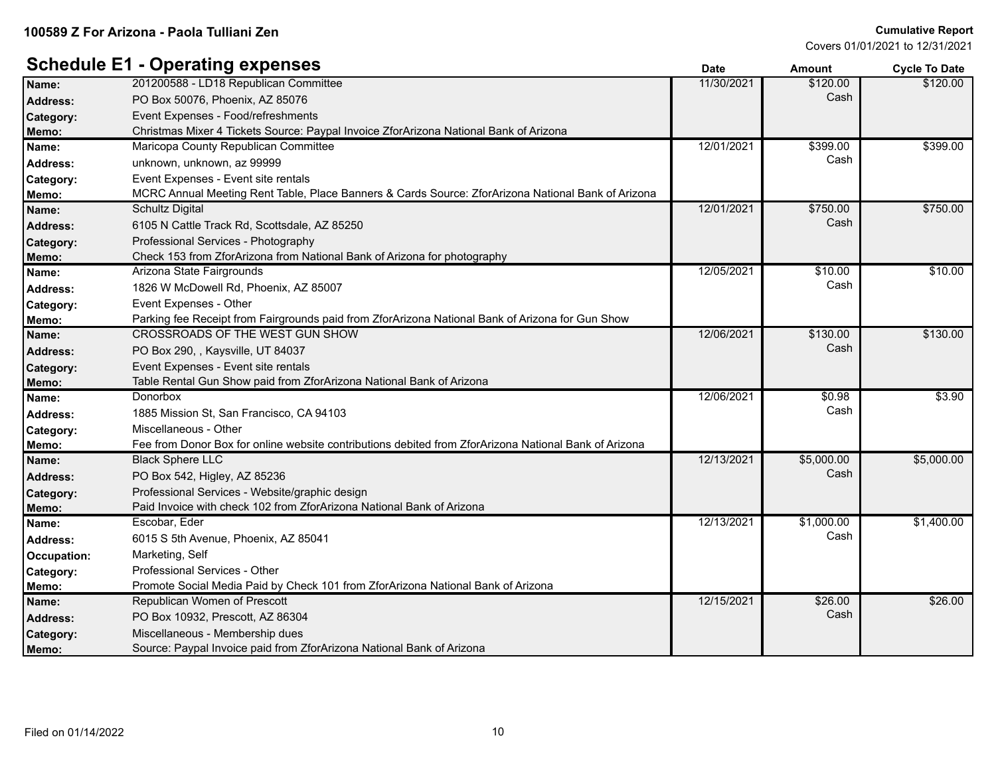#### **Cumulative Report**

Covers 01/01/2021 to 12/31/2021

|                 | $Sp$ g $Sp$                                                                                           | Dale       | AIIIOUIIL  | <b>OVER TO DATE</b> |
|-----------------|-------------------------------------------------------------------------------------------------------|------------|------------|---------------------|
| Name:           | 201200588 - LD18 Republican Committee                                                                 | 11/30/2021 | \$120.00   | \$120.00            |
| <b>Address:</b> | PO Box 50076, Phoenix, AZ 85076                                                                       |            | Cash       |                     |
| Category:       | Event Expenses - Food/refreshments                                                                    |            |            |                     |
| Memo:           | Christmas Mixer 4 Tickets Source: Paypal Invoice ZforArizona National Bank of Arizona                 |            |            |                     |
| Name:           | Maricopa County Republican Committee                                                                  | 12/01/2021 | \$399.00   | \$399.00            |
| <b>Address:</b> | unknown, unknown, az 99999                                                                            |            | Cash       |                     |
| Category:       | Event Expenses - Event site rentals                                                                   |            |            |                     |
| Memo:           | MCRC Annual Meeting Rent Table, Place Banners & Cards Source: ZforArizona National Bank of Arizona    |            |            |                     |
| Name:           | <b>Schultz Digital</b>                                                                                | 12/01/2021 | \$750.00   | \$750.00            |
| <b>Address:</b> | 6105 N Cattle Track Rd, Scottsdale, AZ 85250                                                          |            | Cash       |                     |
| Category:       | Professional Services - Photography                                                                   |            |            |                     |
| Memo:           | Check 153 from ZforArizona from National Bank of Arizona for photography                              |            |            |                     |
| Name:           | Arizona State Fairgrounds                                                                             | 12/05/2021 | \$10.00    | \$10.00             |
| <b>Address:</b> | 1826 W McDowell Rd, Phoenix, AZ 85007                                                                 |            | Cash       |                     |
| Category:       | Event Expenses - Other                                                                                |            |            |                     |
| Memo:           | Parking fee Receipt from Fairgrounds paid from ZforArizona National Bank of Arizona for Gun Show      |            |            |                     |
| Name:           | CROSSROADS OF THE WEST GUN SHOW                                                                       | 12/06/2021 | \$130.00   | \$130.00            |
| <b>Address:</b> | PO Box 290, , Kaysville, UT 84037                                                                     |            | Cash       |                     |
| Category:       | Event Expenses - Event site rentals                                                                   |            |            |                     |
| Memo:           | Table Rental Gun Show paid from ZforArizona National Bank of Arizona                                  |            |            |                     |
| Name:           | Donorbox                                                                                              | 12/06/2021 | \$0.98     | \$3.90              |
| <b>Address:</b> | 1885 Mission St, San Francisco, CA 94103                                                              |            | Cash       |                     |
| Category:       | Miscellaneous - Other                                                                                 |            |            |                     |
| Memo:           | Fee from Donor Box for online website contributions debited from ZforArizona National Bank of Arizona |            |            |                     |
| Name:           | <b>Black Sphere LLC</b>                                                                               | 12/13/2021 | \$5,000.00 | \$5,000.00          |
| <b>Address:</b> | PO Box 542, Higley, AZ 85236                                                                          |            | Cash       |                     |
| Category:       | Professional Services - Website/graphic design                                                        |            |            |                     |
| Memo:           | Paid Invoice with check 102 from ZforArizona National Bank of Arizona                                 |            |            |                     |
| Name:           | Escobar, Eder                                                                                         | 12/13/2021 | \$1,000.00 | \$1,400.00          |
| <b>Address:</b> | 6015 S 5th Avenue, Phoenix, AZ 85041                                                                  |            | Cash       |                     |
| Occupation:     | Marketing, Self                                                                                       |            |            |                     |
| Category:       | Professional Services - Other                                                                         |            |            |                     |
| Memo:           | Promote Social Media Paid by Check 101 from ZforArizona National Bank of Arizona                      |            |            |                     |
| Name:           | Republican Women of Prescott                                                                          | 12/15/2021 | \$26.00    | \$26.00             |
| <b>Address:</b> | PO Box 10932, Prescott, AZ 86304                                                                      |            | Cash       |                     |
| Category:       | Miscellaneous - Membership dues                                                                       |            |            |                     |
| Memo:           | Source: Paypal Invoice paid from ZforArizona National Bank of Arizona                                 |            |            |                     |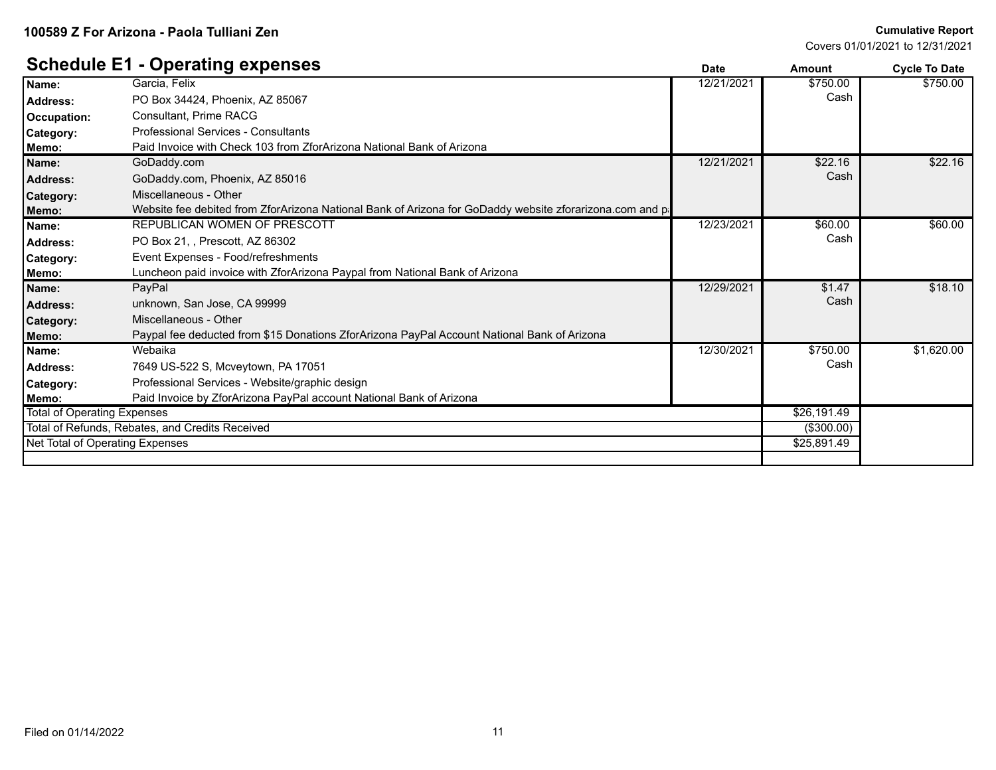#### **Cumulative Report**

Covers 01/01/2021 to 12/31/2021

|                                    |                                                                                                         | υαισ       | anvun       | <b>OVUE TO DATE</b> |
|------------------------------------|---------------------------------------------------------------------------------------------------------|------------|-------------|---------------------|
| Name:                              | Garcia, Felix                                                                                           | 12/21/2021 | \$750.00    | \$750.00            |
| Address:                           | PO Box 34424, Phoenix, AZ 85067                                                                         |            | Cash        |                     |
| Occupation:                        | <b>Consultant, Prime RACG</b>                                                                           |            |             |                     |
| Category:                          | Professional Services - Consultants                                                                     |            |             |                     |
| Memo:                              | Paid Invoice with Check 103 from ZforArizona National Bank of Arizona                                   |            |             |                     |
| Name:                              | GoDaddy.com                                                                                             | 12/21/2021 | \$22.16     | \$22.16             |
| <b>Address:</b>                    | GoDaddy.com, Phoenix, AZ 85016                                                                          |            | Cash        |                     |
| <b>Category:</b>                   | Miscellaneous - Other                                                                                   |            |             |                     |
| Memo:                              | Website fee debited from ZforArizona National Bank of Arizona for GoDaddy website zforarizona.com and p |            |             |                     |
| Name:                              | REPUBLICAN WOMEN OF PRESCOTT                                                                            | 12/23/2021 | \$60.00     | \$60.00             |
| <b>Address:</b>                    | PO Box 21, , Prescott, AZ 86302                                                                         |            | Cash        |                     |
| <b>Category:</b>                   | Event Expenses - Food/refreshments                                                                      |            |             |                     |
| Memo:                              | Luncheon paid invoice with ZforArizona Paypal from National Bank of Arizona                             |            |             |                     |
| Name:                              | PayPal                                                                                                  | 12/29/2021 | \$1.47      | \$18.10             |
| Address:                           | unknown, San Jose, CA 99999                                                                             |            | Cash        |                     |
| <b>Category:</b>                   | Miscellaneous - Other                                                                                   |            |             |                     |
| Memo:                              | Paypal fee deducted from \$15 Donations ZforArizona PayPal Account National Bank of Arizona             |            |             |                     |
| Name:                              | Webaika                                                                                                 | 12/30/2021 | \$750.00    | \$1,620.00          |
| Address:                           | 7649 US-522 S, Mcveytown, PA 17051                                                                      |            | Cash        |                     |
| <b>Category:</b>                   | Professional Services - Website/graphic design                                                          |            |             |                     |
| Memo:                              | Paid Invoice by ZforArizona PayPal account National Bank of Arizona                                     |            |             |                     |
| <b>Total of Operating Expenses</b> |                                                                                                         |            | \$26,191.49 |                     |
|                                    | Total of Refunds, Rebates, and Credits Received                                                         |            | (\$300.00)  |                     |
| Net Total of Operating Expenses    |                                                                                                         |            | \$25,891.49 |                     |
|                                    |                                                                                                         |            |             |                     |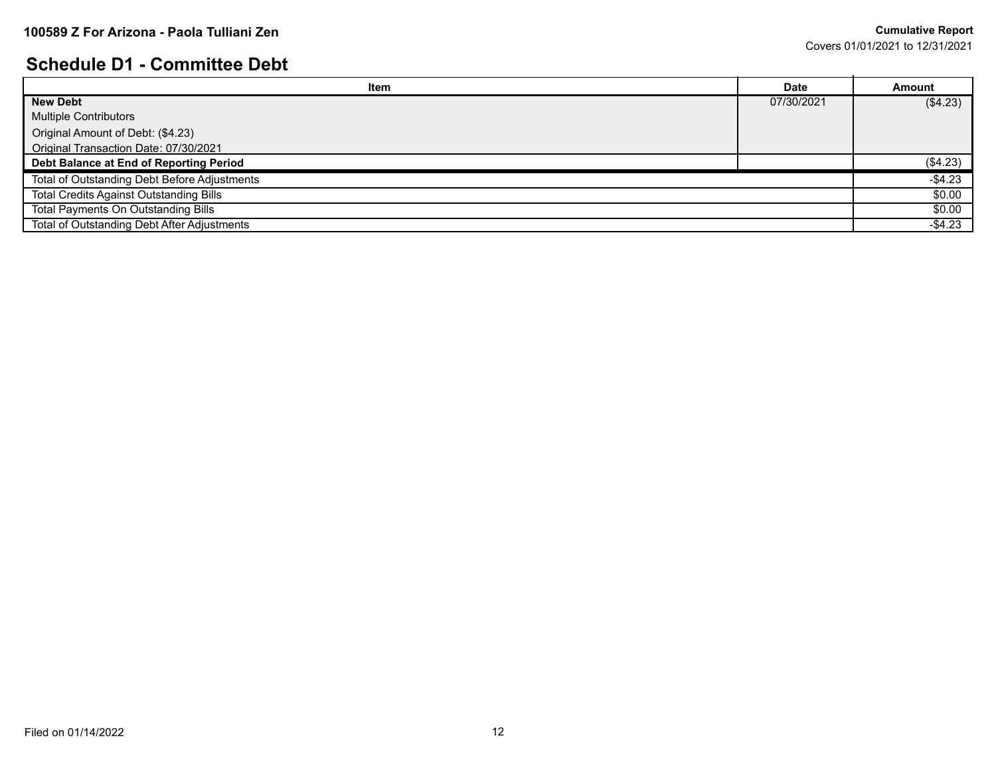#### **Schedule D1 - Committee Debt**

| _________________________________              |             |               |  |
|------------------------------------------------|-------------|---------------|--|
| Item                                           | <b>Date</b> | <b>Amount</b> |  |
| <b>New Debt</b>                                | 07/30/2021  | (\$4.23)      |  |
| <b>Multiple Contributors</b>                   |             |               |  |
| Original Amount of Debt: (\$4.23)              |             |               |  |
| Original Transaction Date: 07/30/2021          |             |               |  |
| Debt Balance at End of Reporting Period        |             | (\$4.23)      |  |
| Total of Outstanding Debt Before Adjustments   |             | $-$ \$4.23    |  |
| <b>Total Credits Against Outstanding Bills</b> |             | \$0.00        |  |
| <b>Total Payments On Outstanding Bills</b>     |             | \$0.00        |  |
| Total of Outstanding Debt After Adjustments    |             | $-$4.23$      |  |